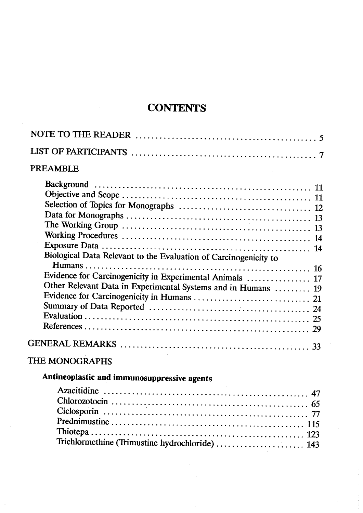## **CONTENTS**

| <b>PREAMBLE</b>                                                  |  |
|------------------------------------------------------------------|--|
|                                                                  |  |
|                                                                  |  |
|                                                                  |  |
|                                                                  |  |
|                                                                  |  |
|                                                                  |  |
|                                                                  |  |
| Biological Data Relevant to the Evaluation of Carcinogenicity to |  |
|                                                                  |  |
| Evidence for Carcinogenicity in Experimental Animals  17         |  |
| Other Relevant Data in Experimental Systems and in Humans  19    |  |
|                                                                  |  |
|                                                                  |  |
|                                                                  |  |
|                                                                  |  |
|                                                                  |  |
| THE MONOGRAPHS                                                   |  |
| Antineoplastic and immunosuppressive agents                      |  |
|                                                                  |  |
|                                                                  |  |
|                                                                  |  |
|                                                                  |  |

Trichlormethine (Trimustine hydrochloride) .............................. 143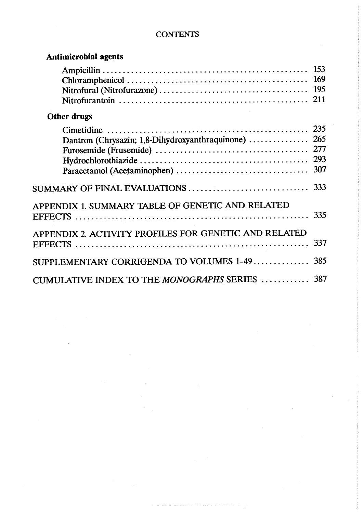## **CONTENTS**

| <b>Antimicrobial agents</b>                           |            |
|-------------------------------------------------------|------------|
|                                                       | 153        |
| <b>Other drugs</b>                                    |            |
|                                                       | 293<br>307 |
|                                                       |            |
| APPENDIX 1. SUMMARY TABLE OF GENETIC AND RELATED      |            |
| APPENDIX 2. ACTIVITY PROFILES FOR GENETIC AND RELATED | 337        |
| SUPPLEMENTARY CORRIGENDA TO VOLUMES 1-49  385         |            |
| CUMULATIVE INDEX TO THE MONOGRAPHS SERIES  387        |            |